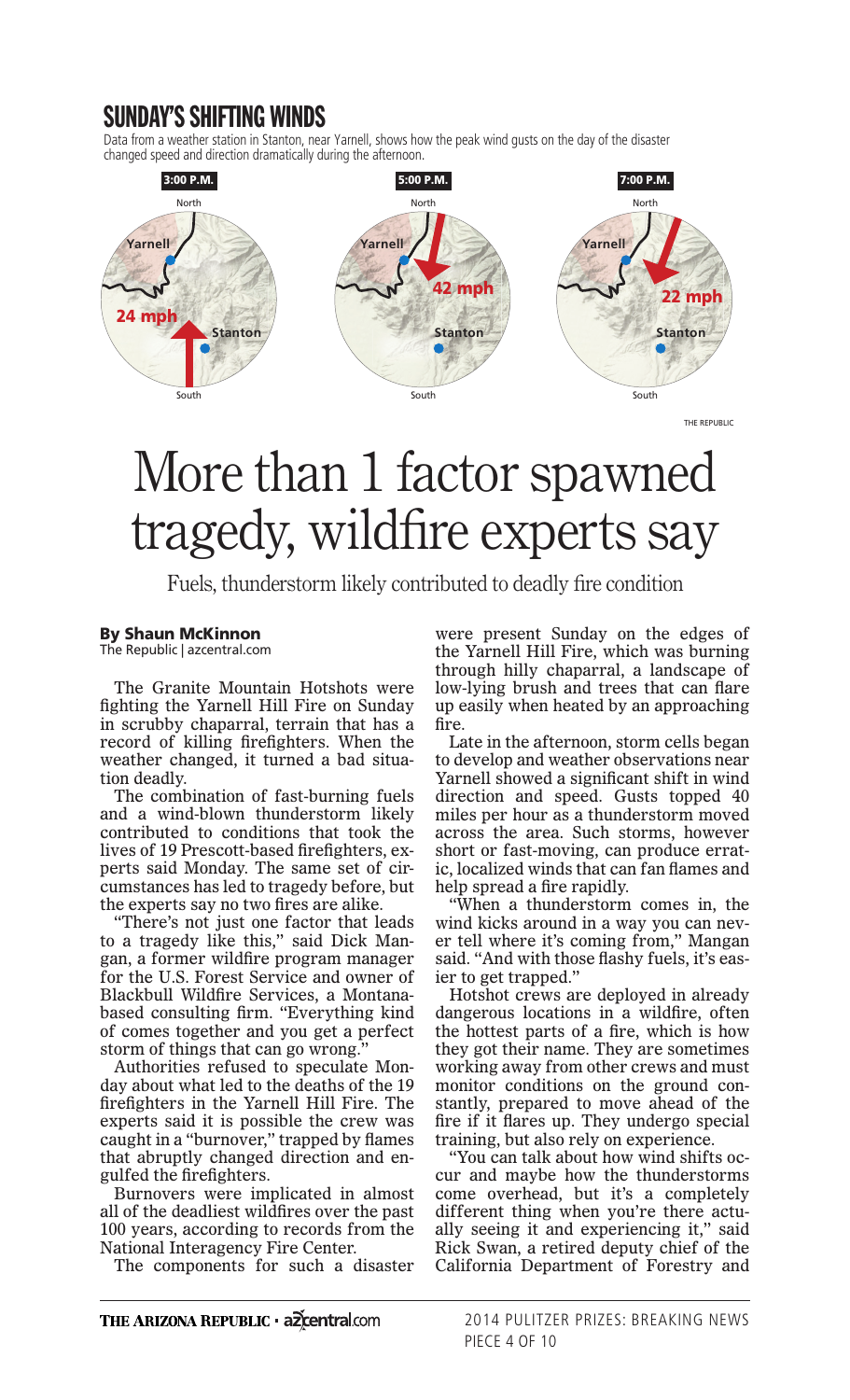## SUNDAY'S SHIFTING WINDS

Data from a weather station in Stanton, near Yarnell, shows how the peak wind gusts on the day of the disaster changed speed and direction dramatically during the afternoon.



THE REPUBLIC

## More than 1 factor spawned tragedy, wildfire experts say

Fuels, thunderstorm likely contributed to deadly fire condition

## By Shaun McKinnon

The Republic | azcentral.com

The Granite Mountain Hotshots were fighting the Yarnell Hill Fire on Sunday in scrubby chaparral, terrain that has a record of killing firefighters. When the weather changed, it turned a bad situation deadly.

The combination of fast-burning fuels and a wind-blown thunderstorm likely contributed to conditions that took the lives of 19 Prescott-based firefighters, experts said Monday. The same set of circumstances has led to tragedy before, but the experts say no two fires are alike.

"There's not just one factor that leads to a tragedy like this," said Dick Mangan, a former wildfire program manager for the U.S. Forest Service and owner of Blackbull Wildfire Services, a Montanabased consulting firm. "Everything kind of comes together and you get a perfect storm of things that can go wrong."

Authorities refused to speculate Monday about what led to the deaths of the 19 firefighters in the Yarnell Hill Fire. The experts said it is possible the crew was caught in a "burnover," trapped by flames that abruptly changed direction and engulfed the firefighters.

Burnovers were implicated in almost all of the deadliest wildfires over the past 100 years, according to records from the National Interagency Fire Center.

The components for such a disaster

were present Sunday on the edges of the Yarnell Hill Fire, which was burning through hilly chaparral, a landscape of low-lying brush and trees that can flare up easily when heated by an approaching fire.

Late in the afternoon, storm cells began to develop and weather observations near Yarnell showed a significant shift in wind direction and speed. Gusts topped 40 miles per hour as a thunderstorm moved across the area. Such storms, however short or fast-moving, can produce erratic, localized winds that can fan flames and help spread a fire rapidly.

"When a thunderstorm comes in, the wind kicks around in a way you can never tell where it's coming from," Mangan said. "And with those flashy fuels, it's easier to get trapped."

Hotshot crews are deployed in already dangerous locations in a wildfire, often the hottest parts of a fire, which is how they got their name. They are sometimes working away from other crews and must monitor conditions on the ground constantly, prepared to move ahead of the fire if it flares up. They undergo special training, but also rely on experience.

"You can talk about how wind shifts occur and maybe how the thunderstorms come overhead, but it's a completely different thing when you're there actually seeing it and experiencing it," said Rick Swan, a retired deputy chief of the California Department of Forestry and